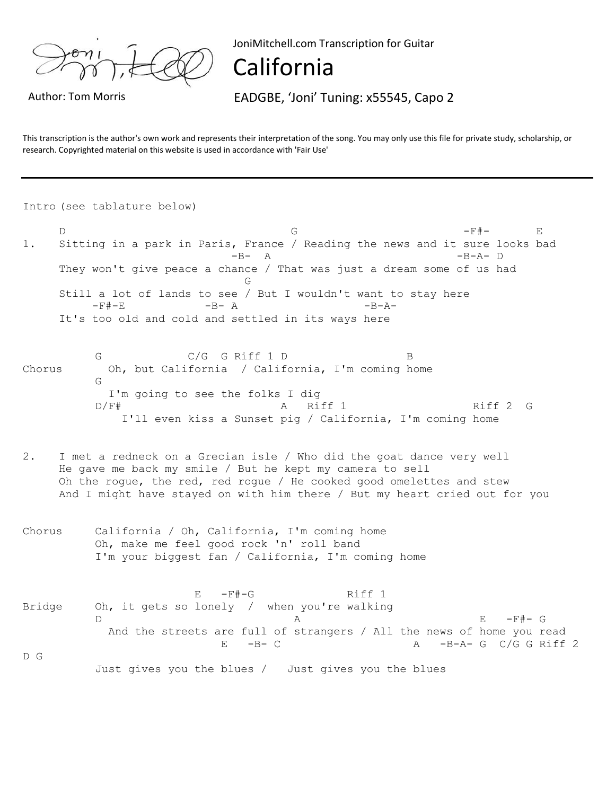JoniMitchell.com Transcription for Guitar

## California

Author: Tom Morris EADGBE, 'Joni' Tuning: x55545, Capo 2

This transcription is the author's own work and represents their interpretation of the song. You may only use this file for private study, scholarship, or research. Copyrighted material on this website is used in accordance with 'Fair Use'

Intro (see tablature below) D G -F#- E 1. Sitting in a park in Paris, France / Reading the news and it sure looks bad  $-B-$  A  $-B-A-$  D They won't give peace a chance / That was just a dream some of us had General Control of the Control of General Control of the Control of General Control of the Control of General Co Still a lot of lands to see / But I wouldn't want to stay here  $-F#-E$  -B- A -B-A-It's too old and cold and settled in its ways here G C/G G Riff 1 D B Chorus Oh, but California / California, I'm coming home G I'm going to see the folks I dig  $D/F#$  a Riff 1 Riff 2 G I'll even kiss a Sunset pig / California, I'm coming home 2. I met a redneck on a Grecian isle / Who did the goat dance very well He gave me back my smile / But he kept my camera to sell Oh the rogue, the red, red rogue / He cooked good omelettes and stew And I might have stayed on with him there / But my heart cried out for you Chorus California / Oh, California, I'm coming home Oh, make me feel good rock 'n' roll band I'm your biggest fan / California, I'm coming home E -F#-G Riff 1 Bridge Oh, it gets so lonely / when you're walking D B  $-F#-$  G And the streets are full of strangers / All the news of home you read  $E$  -B- C  $A$  -B-A- G C/G G Riff 2 D G Just gives you the blues / Just gives you the blues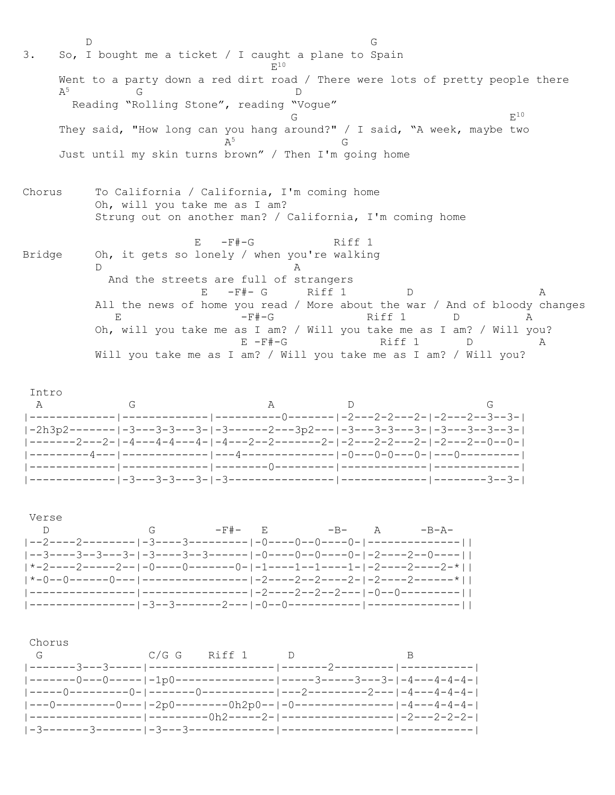3. So, I bought me a ticket / I caught a plane to Spain Experimental control of the control of the control of the Experimental Experimental Control of the Experimental  $F<sup>10</sup>$ Went to a party down a red dirt road / There were lots of pretty people there  $A<sup>5</sup>$  $5$  G D Reading "Rolling Stone", reading "Vogue"  $G$  and  $E^{10}$ They said, "How long can you hang around?" / I said, "A week, maybe two A  $5 \hspace{2.5cm} G$ Just until my skin turns brown" / Then I'm going home Chorus To California / California, I'm coming home Oh, will you take me as I am? Strung out on another man? / California, I'm coming home E -F#-G Riff 1 Bridge Oh, it gets so lonely / when you're walking D A And the streets are full of strangers E -F#- G Riff 1 D A All the news of home you read / More about the war / And of bloody changes E -F#-G Riff 1 D A Oh, will you take me as I am? / Will you take me as I am? / Will you? E -F#-G Riff 1 D A Will you take me as I am? / Will you take me as I am? / Will you?

D<sub>o</sub> G

Intro

| $A$ G $\qquad \qquad G$ |  |  | A D G                                                                        |
|-------------------------|--|--|------------------------------------------------------------------------------|
|                         |  |  |                                                                              |
|                         |  |  | -2h3p2------- -3---3-3---3- -3-------2---3p2--- -3---3-3---3- -3---3--3--3-  |
|                         |  |  | -------2---2- -4---4-4---4- -4---2--2-------2- -2----2- -2---2- -2---2-0--0- |
|                         |  |  |                                                                              |
|                         |  |  |                                                                              |
|                         |  |  |                                                                              |

Verse D G -F#- E -B- A -B-A-|--2----2--------|-3----3---------|-0----0--0----0-|--------------||  $1 - 3 - - - 3 - 3 - - 3 - 1 - 3 - 1 - 3 - - - 3 - 3 - - - - - 1 - 0 - 0 - 0 - - - - 0 - 1 - 2 - - - - 2 - 0 - - - - 1$ |\*-2----2-----2--|-0----0-------0-|-1----1--1----1-|-2----2----2-\*|| |\*-0--0------0---|----------------|-2----2--2----2-|-2----2------\*|| |----------------|----------------|-2----2--2--2---|-0--0---------|| |----------------|-3--3-------2---|-0--0-----------|--------------||

Chorus G C/G G Riff 1 D B |-------3---3-----|-------------------|-------2---------|-----------| |-------0---0-----|-1p0---------------|-----3-----3---3-|-4---4-4-4-| |-----0---------0-|-------0-----------|---2---------2---|-4---4-4-4-| |---0---------0---|-2p0--------0h2p0--|-0---------------|-4---4-4-4-| |-----------------|---------0h2-----2-|-----------------|-2---2-2-2-| |-3-------3-------|-3---3-------------|-----------------|-----------|